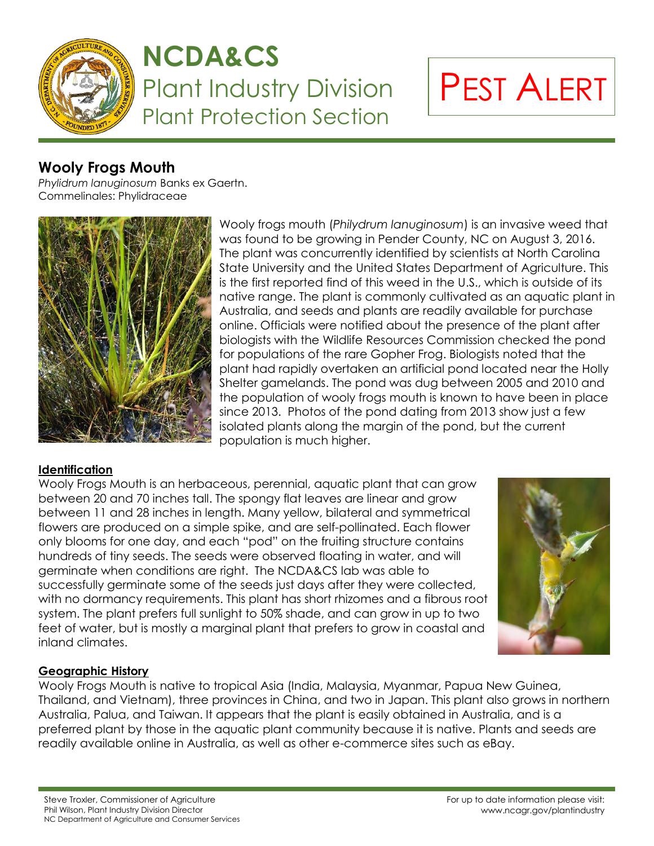

## **NCDA&CS** Plant Industry Division Plant Protection Section

# PEST ALERT

### **Wooly Frogs Mouth**

*Phylidrum lanuginosum* Banks ex Gaertn. Commelinales: Phylidraceae



Wooly frogs mouth (*Philydrum lanuginosum*) is an invasive weed that was found to be growing in Pender County, NC on August 3, 2016. The plant was concurrently identified by scientists at North Carolina State University and the United States Department of Agriculture. This is the first reported find of this weed in the U.S., which is outside of its native range. The plant is commonly cultivated as an aquatic plant in Australia, and seeds and plants are readily available for purchase online. Officials were notified about the presence of the plant after biologists with the Wildlife Resources Commission checked the pond for populations of the rare Gopher Frog. Biologists noted that the plant had rapidly overtaken an artificial pond located near the Holly Shelter gamelands. The pond was dug between 2005 and 2010 and the population of wooly frogs mouth is known to have been in place since 2013. Photos of the pond dating from 2013 show just a few isolated plants along the margin of the pond, but the current population is much higher.

#### **Identification**

Wooly Frogs Mouth is an herbaceous, perennial, aquatic plant that can grow between 20 and 70 inches tall. The spongy flat leaves are linear and grow between 11 and 28 inches in length. Many yellow, bilateral and symmetrical flowers are produced on a simple spike, and are self-pollinated. Each flower only blooms for one day, and each "pod" on the fruiting structure contains hundreds of tiny seeds. The seeds were observed floating in water, and will germinate when conditions are right. The NCDA&CS lab was able to successfully germinate some of the seeds just days after they were collected, with no dormancy requirements. This plant has short rhizomes and a fibrous root system. The plant prefers full sunlight to 50% shade, and can grow in up to two feet of water, but is mostly a marginal plant that prefers to grow in coastal and inland climates.



#### **Geographic History**

Wooly Frogs Mouth is native to tropical Asia (India, Malaysia, Myanmar, Papua New Guinea, Thailand, and Vietnam), three provinces in China, and two in Japan. This plant also grows in northern Australia, Palua, and Taiwan. It appears that the plant is easily obtained in Australia, and is a preferred plant by those in the aquatic plant community because it is native. Plants and seeds are readily available online in Australia, as well as other e-commerce sites such as eBay.